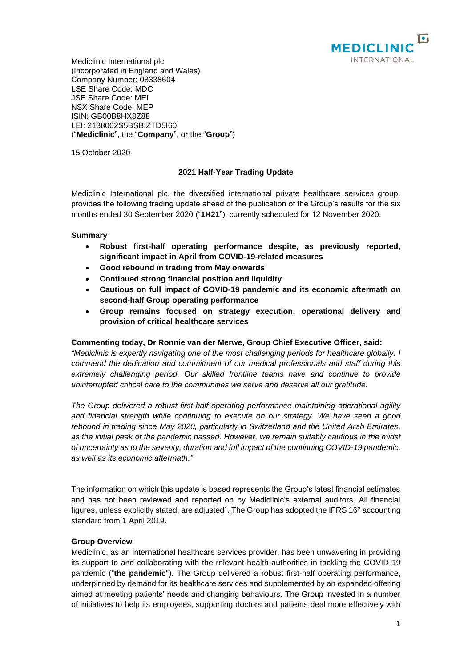

Mediclinic International plc (Incorporated in England and Wales) Company Number: 08338604 LSE Share Code: MDC JSE Share Code: MEI NSX Share Code: MEP ISIN: GB00B8HX8Z88 LEI: 2138002S5BSBIZTD5I60 ("**Mediclinic**", the "**Company**", or the "**Group**")

15 October 2020

# **2021 Half-Year Trading Update**

Mediclinic International plc, the diversified international private healthcare services group, provides the following trading update ahead of the publication of the Group's results for the six months ended 30 September 2020 ("**1H21**"), currently scheduled for 12 November 2020.

## **Summary**

- **Robust first-half operating performance despite, as previously reported, significant impact in April from COVID-19-related measures**
- **Good rebound in trading from May onwards**
- **Continued strong financial position and liquidity**
- **Cautious on full impact of COVID-19 pandemic and its economic aftermath on second-half Group operating performance**
- **Group remains focused on strategy execution, operational delivery and provision of critical healthcare services**

# **Commenting today, Dr Ronnie van der Merwe, Group Chief Executive Officer, said:**

*"Mediclinic is expertly navigating one of the most challenging periods for healthcare globally. I commend the dedication and commitment of our medical professionals and staff during this extremely challenging period. Our skilled frontline teams have and continue to provide uninterrupted critical care to the communities we serve and deserve all our gratitude.*

*The Group delivered a robust first-half operating performance maintaining operational agility and financial strength while continuing to execute on our strategy. We have seen a good rebound in trading since May 2020, particularly in Switzerland and the United Arab Emirates, as the initial peak of the pandemic passed. However, we remain suitably cautious in the midst of uncertainty as to the severity, duration and full impact of the continuing COVID-19 pandemic, as well as its economic aftermath."*

The information on which this update is based represents the Group's latest financial estimates and has not been reviewed and reported on by Mediclinic's external auditors. All financial figures, unless explicitly stated, are adjusted<sup>1</sup>. The Group has adopted the IFRS 16<sup>2</sup> accounting standard from 1 April 2019.

#### **Group Overview**

Mediclinic, as an international healthcare services provider, has been unwavering in providing its support to and collaborating with the relevant health authorities in tackling the COVID-19 pandemic ("**the pandemic**"). The Group delivered a robust first-half operating performance, underpinned by demand for its healthcare services and supplemented by an expanded offering aimed at meeting patients' needs and changing behaviours. The Group invested in a number of initiatives to help its employees, supporting doctors and patients deal more effectively with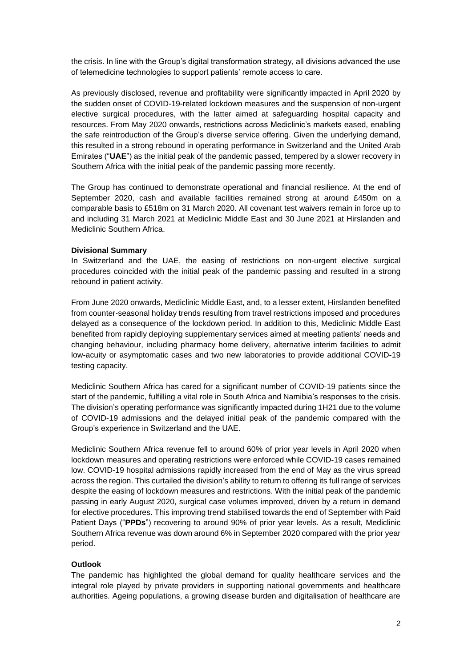the crisis. In line with the Group's digital transformation strategy, all divisions advanced the use of telemedicine technologies to support patients' remote access to care.

As previously disclosed, revenue and profitability were significantly impacted in April 2020 by the sudden onset of COVID-19-related lockdown measures and the suspension of non-urgent elective surgical procedures, with the latter aimed at safeguarding hospital capacity and resources. From May 2020 onwards, restrictions across Mediclinic's markets eased, enabling the safe reintroduction of the Group's diverse service offering. Given the underlying demand, this resulted in a strong rebound in operating performance in Switzerland and the United Arab Emirates ("**UAE**") as the initial peak of the pandemic passed, tempered by a slower recovery in Southern Africa with the initial peak of the pandemic passing more recently.

The Group has continued to demonstrate operational and financial resilience. At the end of September 2020, cash and available facilities remained strong at around £450m on a comparable basis to £518m on 31 March 2020. All covenant test waivers remain in force up to and including 31 March 2021 at Mediclinic Middle East and 30 June 2021 at Hirslanden and Mediclinic Southern Africa.

## **Divisional Summary**

In Switzerland and the UAE, the easing of restrictions on non-urgent elective surgical procedures coincided with the initial peak of the pandemic passing and resulted in a strong rebound in patient activity.

From June 2020 onwards, Mediclinic Middle East, and, to a lesser extent, Hirslanden benefited from counter-seasonal holiday trends resulting from travel restrictions imposed and procedures delayed as a consequence of the lockdown period. In addition to this, Mediclinic Middle East benefited from rapidly deploying supplementary services aimed at meeting patients' needs and changing behaviour, including pharmacy home delivery, alternative interim facilities to admit low-acuity or asymptomatic cases and two new laboratories to provide additional COVID-19 testing capacity.

Mediclinic Southern Africa has cared for a significant number of COVID-19 patients since the start of the pandemic, fulfilling a vital role in South Africa and Namibia's responses to the crisis. The division's operating performance was significantly impacted during 1H21 due to the volume of COVID-19 admissions and the delayed initial peak of the pandemic compared with the Group's experience in Switzerland and the UAE.

Mediclinic Southern Africa revenue fell to around 60% of prior year levels in April 2020 when lockdown measures and operating restrictions were enforced while COVID-19 cases remained low. COVID-19 hospital admissions rapidly increased from the end of May as the virus spread across the region. This curtailed the division's ability to return to offering its full range of services despite the easing of lockdown measures and restrictions. With the initial peak of the pandemic passing in early August 2020, surgical case volumes improved, driven by a return in demand for elective procedures. This improving trend stabilised towards the end of September with Paid Patient Days ("**PPDs**") recovering to around 90% of prior year levels. As a result, Mediclinic Southern Africa revenue was down around 6% in September 2020 compared with the prior year period.

# **Outlook**

The pandemic has highlighted the global demand for quality healthcare services and the integral role played by private providers in supporting national governments and healthcare authorities. Ageing populations, a growing disease burden and digitalisation of healthcare are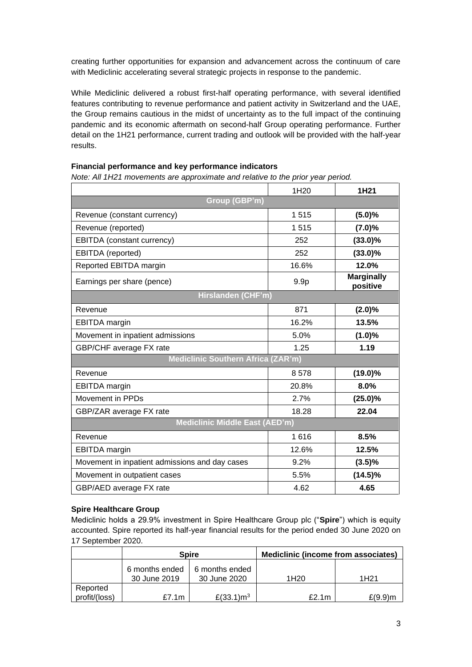creating further opportunities for expansion and advancement across the continuum of care with Mediclinic accelerating several strategic projects in response to the pandemic.

While Mediclinic delivered a robust first-half operating performance, with several identified features contributing to revenue performance and patient activity in Switzerland and the UAE, the Group remains cautious in the midst of uncertainty as to the full impact of the continuing pandemic and its economic aftermath on second-half Group operating performance. Further detail on the 1H21 performance, current trading and outlook will be provided with the half-year results.

## **Financial performance and key performance indicators**

*Note: All 1H21 movements are approximate and relative to the prior year period.* 

|                                                | 1H20             | 1H21                          |  |  |
|------------------------------------------------|------------------|-------------------------------|--|--|
| Group (GBP'm)                                  |                  |                               |  |  |
| Revenue (constant currency)                    | 1515             | (5.0)%                        |  |  |
| Revenue (reported)                             | 1515             | $(7.0)\%$                     |  |  |
| EBITDA (constant currency)                     | 252              | $(33.0)\%$                    |  |  |
| EBITDA (reported)                              | 252              | $(33.0)\%$                    |  |  |
| Reported EBITDA margin                         | 16.6%            | 12.0%                         |  |  |
| Earnings per share (pence)                     | 9.9 <sub>p</sub> | <b>Marginally</b><br>positive |  |  |
| Hirslanden (CHF'm)                             |                  |                               |  |  |
| Revenue                                        | 871              | $(2.0)\%$                     |  |  |
| <b>EBITDA</b> margin                           | 16.2%            | 13.5%                         |  |  |
| Movement in inpatient admissions               | 5.0%             | $(1.0)\%$                     |  |  |
| GBP/CHF average FX rate                        | 1.25             | 1.19                          |  |  |
| <b>Mediclinic Southern Africa (ZAR'm)</b>      |                  |                               |  |  |
| Revenue                                        | 8578             | $(19.0)\%$                    |  |  |
| <b>EBITDA</b> margin                           | 20.8%            | 8.0%                          |  |  |
| Movement in PPDs                               | 2.7%             | $(25.0)\%$                    |  |  |
| GBP/ZAR average FX rate                        | 18.28            | 22.04                         |  |  |
| <b>Mediclinic Middle East (AED'm)</b>          |                  |                               |  |  |
| Revenue                                        | 1616             | 8.5%                          |  |  |
| <b>EBITDA</b> margin                           | 12.6%            | 12.5%                         |  |  |
| Movement in inpatient admissions and day cases | 9.2%             | (3.5)%                        |  |  |
| Movement in outpatient cases                   | 5.5%             | $(14.5)\%$                    |  |  |
| GBP/AED average FX rate                        | 4.62             | 4.65                          |  |  |

# **Spire Healthcare Group**

Mediclinic holds a 29.9% investment in Spire Healthcare Group plc ("**Spire**") which is equity accounted. Spire reported its half-year financial results for the period ended 30 June 2020 on 17 September 2020.

|                           | <b>Spire</b>                   |                                | Mediclinic (income from associates) |                  |
|---------------------------|--------------------------------|--------------------------------|-------------------------------------|------------------|
|                           | 6 months ended<br>30 June 2019 | 6 months ended<br>30 June 2020 | 1H20                                | 1H <sub>21</sub> |
| Reported<br>profit/(loss) | £7.1m                          | £(33.1) $m3$                   | £2.1 $m$                            | $£(9.9)$ m       |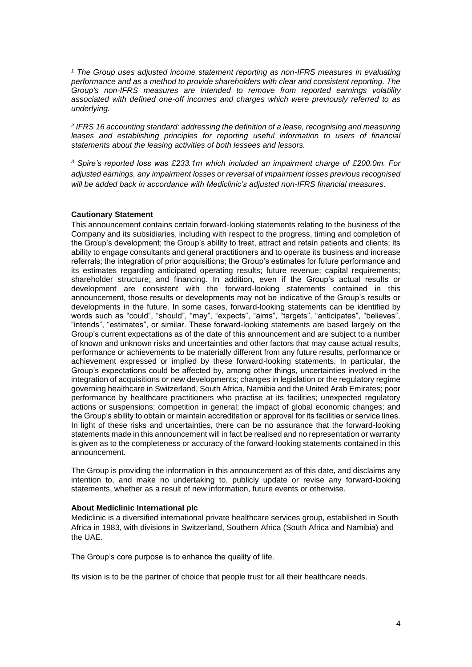*<sup>1</sup> The Group uses adjusted income statement reporting as non-IFRS measures in evaluating performance and as a method to provide shareholders with clear and consistent reporting. The Group's non-IFRS measures are intended to remove from reported earnings volatility associated with defined one-off incomes and charges which were previously referred to as underlying.*

*2 IFRS 16 accounting standard: addressing the definition of a lease, recognising and measuring*  leases and establishing principles for reporting useful information to users of financial *statements about the leasing activities of both lessees and lessors.*

*<sup>3</sup> Spire's reported loss was £233.1m which included an impairment charge of £200.0m. For adjusted earnings, any impairment losses or reversal of impairment losses previous recognised will be added back in accordance with Mediclinic's adjusted non-IFRS financial measures.*

## **Cautionary Statement**

This announcement contains certain forward-looking statements relating to the business of the Company and its subsidiaries, including with respect to the progress, timing and completion of the Group's development; the Group's ability to treat, attract and retain patients and clients; its ability to engage consultants and general practitioners and to operate its business and increase referrals; the integration of prior acquisitions; the Group's estimates for future performance and its estimates regarding anticipated operating results; future revenue; capital requirements; shareholder structure; and financing. In addition, even if the Group's actual results or development are consistent with the forward-looking statements contained in this announcement, those results or developments may not be indicative of the Group's results or developments in the future. In some cases, forward-looking statements can be identified by words such as "could", "should", "may", "expects", "aims", "targets", "anticipates", "believes", "intends", "estimates", or similar. These forward-looking statements are based largely on the Group's current expectations as of the date of this announcement and are subject to a number of known and unknown risks and uncertainties and other factors that may cause actual results, performance or achievements to be materially different from any future results, performance or achievement expressed or implied by these forward-looking statements. In particular, the Group's expectations could be affected by, among other things, uncertainties involved in the integration of acquisitions or new developments; changes in legislation or the regulatory regime governing healthcare in Switzerland, South Africa, Namibia and the United Arab Emirates; poor performance by healthcare practitioners who practise at its facilities; unexpected regulatory actions or suspensions; competition in general; the impact of global economic changes; and the Group's ability to obtain or maintain accreditation or approval for its facilities or service lines. In light of these risks and uncertainties, there can be no assurance that the forward-looking statements made in this announcement will in fact be realised and no representation or warranty is given as to the completeness or accuracy of the forward-looking statements contained in this announcement.

The Group is providing the information in this announcement as of this date, and disclaims any intention to, and make no undertaking to, publicly update or revise any forward-looking statements, whether as a result of new information, future events or otherwise.

#### **About Mediclinic International plc**

Mediclinic is a diversified international private healthcare services group, established in South Africa in 1983, with divisions in Switzerland, Southern Africa (South Africa and Namibia) and the UAE.

The Group's core purpose is to enhance the quality of life.

Its vision is to be the partner of choice that people trust for all their healthcare needs.